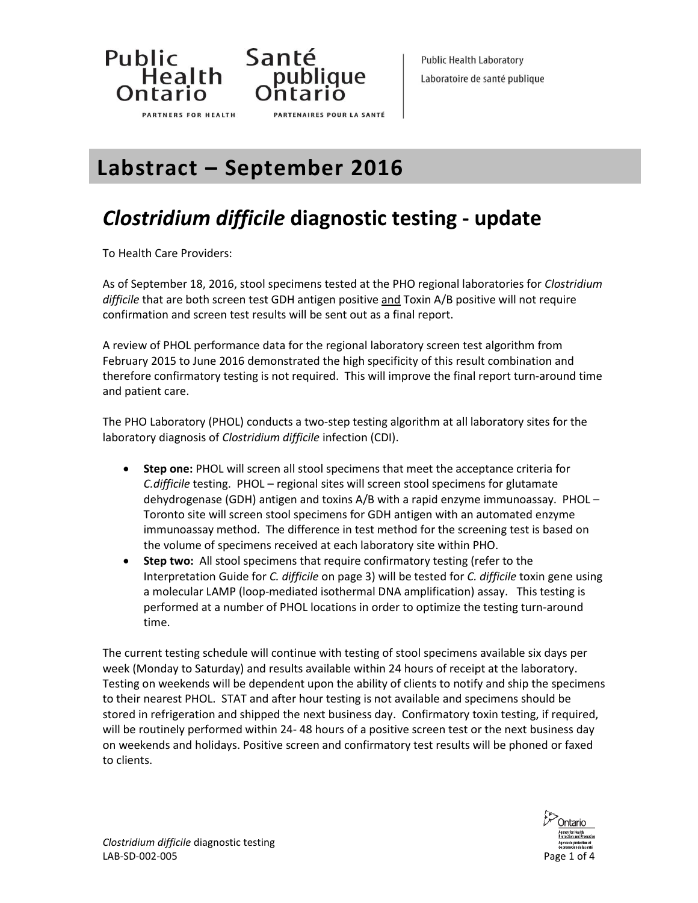

**PARTNERS FOR HEALTH** 



**PARTENAIRES POUR LA SANTÉ** 

**Public Health Laboratory** Laboratoire de santé publique

**Labstract – September 2016**

# *Clostridium difficile* **diagnostic testing - update**

To Health Care Providers:

As of September 18, 2016, stool specimens tested at the PHO regional laboratories for *Clostridium difficile* that are both screen test GDH antigen positive and Toxin A/B positive will not require confirmation and screen test results will be sent out as a final report.

A review of PHOL performance data for the regional laboratory screen test algorithm from February 2015 to June 2016 demonstrated the high specificity of this result combination and therefore confirmatory testing is not required. This will improve the final report turn-around time and patient care.

The PHO Laboratory (PHOL) conducts a two-step testing algorithm at all laboratory sites for the laboratory diagnosis of *Clostridium difficile* infection (CDI).

- **Step one:** PHOL will screen all stool specimens that meet the acceptance criteria for *C.difficile* testing. PHOL – regional sites will screen stool specimens for glutamate dehydrogenase (GDH) antigen and toxins A/B with a rapid enzyme immunoassay. PHOL – Toronto site will screen stool specimens for GDH antigen with an automated enzyme immunoassay method. The difference in test method for the screening test is based on the volume of specimens received at each laboratory site within PHO.
- **Step two:** All stool specimens that require confirmatory testing (refer to the Interpretation Guide for *C. difficile* on page 3) will be tested for *C. difficile* toxin gene using a molecular LAMP (loop-mediated isothermal DNA amplification) assay. This testing is performed at a number of PHOL locations in order to optimize the testing turn-around time.

The current testing schedule will continue with testing of stool specimens available six days per week (Monday to Saturday) and results available within 24 hours of receipt at the laboratory. Testing on weekends will be dependent upon the ability of clients to notify and ship the specimens to their nearest PHOL. STAT and after hour testing is not available and specimens should be stored in refrigeration and shipped the next business day. Confirmatory toxin testing, if required, will be routinely performed within 24- 48 hours of a positive screen test or the next business day on weekends and holidays. Positive screen and confirmatory test results will be phoned or faxed to clients.

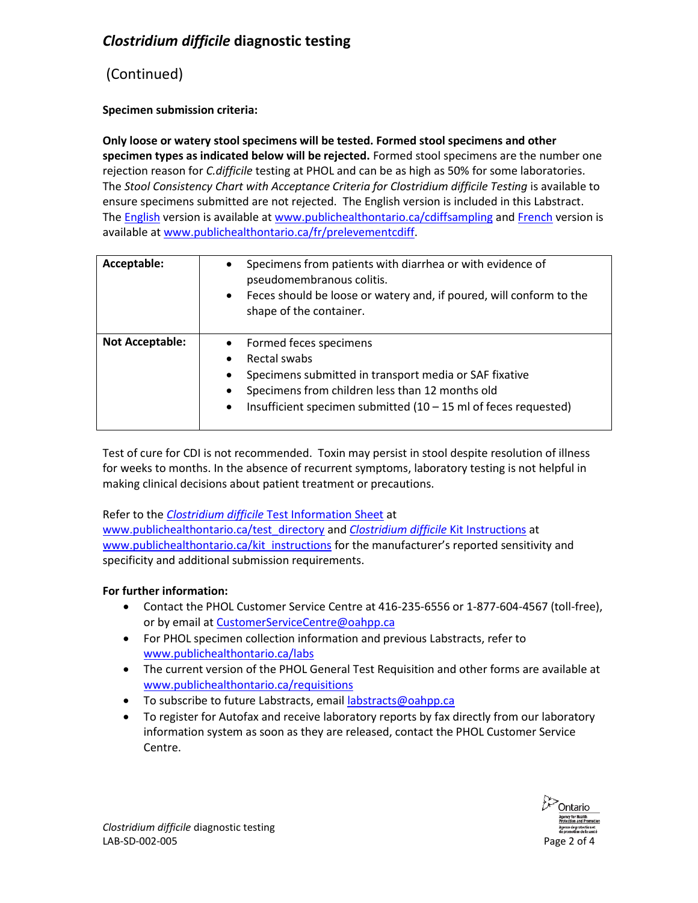### *Clostridium difficile* **diagnostic testing**

### (Continued)

#### **Specimen submission criteria:**

**Only loose or watery stool specimens will be tested. Formed stool specimens and other specimen types as indicated below will be rejected.** Formed stool specimens are the number one rejection reason for *C.difficile* testing at PHOL and can be as high as 50% for some laboratories. The *Stool Consistency Chart with Acceptance Criteria for Clostridium difficile Testing* is available to ensure specimens submitted are not rejected. The English version is included in this Labstract. The [English](https://secure.publichealthontario.ca/en/ServicesAndTools/LaboratoryServices/Documents/Stool_Consistency_Clostridium_difficile_2016_EN.pdf) version is available at [www.publichealthontario.ca/cdiffsampling](https://secure.publichealthontario.ca/en/ServicesAndTools/LaboratoryServices/Documents/Stool_Consistency_Clostridium_difficile_2016_EN.pdf) and [French](http://www.publichealthontario.ca/fr/ServicesAndTools/LaboratoryServices/Documents/Stool_Consistency_Clostridium_difficile_2016_FR.pdf) version is available a[t www.publichealthontario.ca/fr/prelevementcdiff.](http://www.publichealthontario.ca/fr/ServicesAndTools/LaboratoryServices/Documents/Stool_Consistency_Clostridium_difficile_2016_FR.pdf)

| Acceptable:            | Specimens from patients with diarrhea or with evidence of<br>$\bullet$<br>pseudomembranous colitis.<br>Feces should be loose or watery and, if poured, will conform to the<br>$\bullet$<br>shape of the container.                                                                                    |
|------------------------|-------------------------------------------------------------------------------------------------------------------------------------------------------------------------------------------------------------------------------------------------------------------------------------------------------|
| <b>Not Acceptable:</b> | Formed feces specimens<br>$\bullet$<br>Rectal swabs<br>Specimens submitted in transport media or SAF fixative<br>$\bullet$<br>Specimens from children less than 12 months old<br>$\bullet$<br>Insufficient specimen submitted $(10 - 15 \text{ ml of } \text{feces } \text{ requested})$<br>$\bullet$ |

Test of cure for CDI is not recommended. Toxin may persist in stool despite resolution of illness for weeks to months. In the absence of recurrent symptoms, laboratory testing is not helpful in making clinical decisions about patient treatment or precautions.

Refer to the *Clostridium difficile* [Test Information Sheet](http://www.publichealthontario.ca/en/ServicesAndTools/LaboratoryServices/Pages/Clostridium_difficile_toxin_EIA.aspx) at [www.publichealthontario.ca/test\\_directory](http://www.publichealthontario.ca/test_directory) and *[Clostridium difficile](http://www.publichealthontario.ca/en/ServicesAndTools/LaboratoryServices/Pages/Kit%20Instruction%20Sheets/Clostridium-difficile.aspx)* Kit Instructions at [www.publichealthontario.ca/kit\\_instructions](http://www.publichealthontario.ca/en/ServicesAndTools/LaboratoryServices/Pages/supplies.aspx) for the manufacturer's reported sensitivity and specificity and additional submission requirements.

#### **For further information:**

- Contact the PHOL Customer Service Centre at 416-235-6556 or 1-877-604-4567 (toll-free), or by email at [CustomerServiceCentre@oahpp.ca](mailto:CustomerServiceCentre@oahpp.ca)
- For PHOL specimen collection information and previous Labstracts, refer to [www.publichealthontario.ca/labs](http://www.publichealthontario.ca/en/ServicesAndTools/LaboratoryServices/Pages/default.aspx)
- The current version of the PHOL General Test Requisition and other forms are available at [www.publichealthontario.ca/requisitions](http://www.publichealthontario.ca/en/ServicesAndTools/LaboratoryServices/Pages/Requisitions-and-forms.aspx)
- To subscribe to future Labstracts, emai[l labstracts@oahpp.ca](mailto:labstracts@oahpp.ca)
- To register for Autofax and receive laboratory reports by fax directly from our laboratory information system as soon as they are released, contact the PHOL Customer Service Centre.

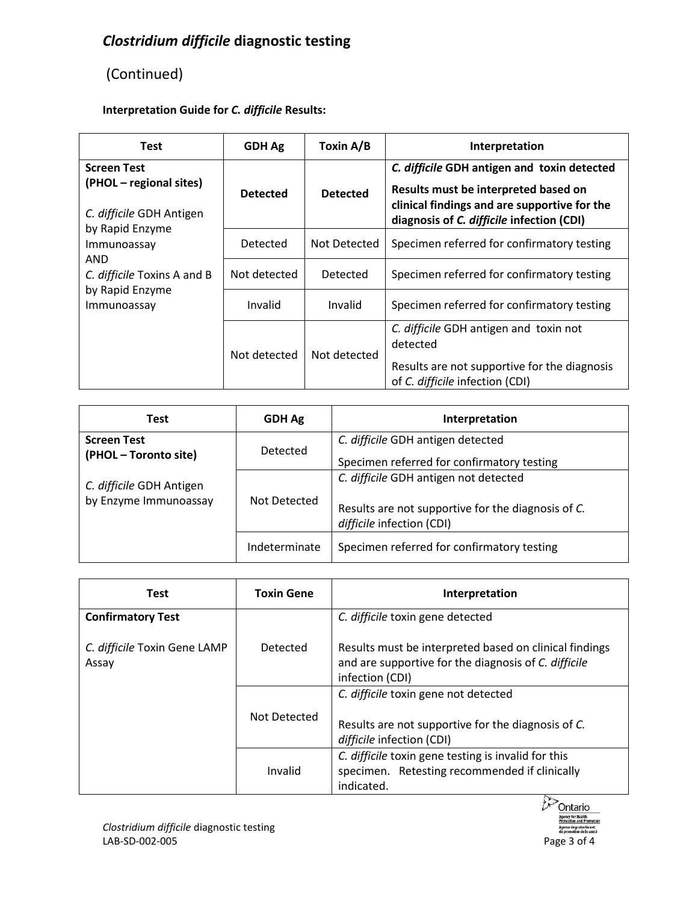## *Clostridium difficile* **diagnostic testing**

## (Continued)

### **Interpretation Guide for** *C. difficile* **Results:**

| <b>Test</b>                                                               | <b>GDH Ag</b>   | Toxin A/B       | Interpretation                                                                                                                                                                   |
|---------------------------------------------------------------------------|-----------------|-----------------|----------------------------------------------------------------------------------------------------------------------------------------------------------------------------------|
| <b>Screen Test</b><br>(PHOL – regional sites)<br>C. difficile GDH Antigen | <b>Detected</b> | <b>Detected</b> | C. difficile GDH antigen and toxin detected<br>Results must be interpreted based on<br>clinical findings and are supportive for the<br>diagnosis of C. difficile infection (CDI) |
| by Rapid Enzyme<br>Immunoassay                                            | Detected        | Not Detected    | Specimen referred for confirmatory testing                                                                                                                                       |
| AND<br>C. difficile Toxins A and B                                        | Not detected    | Detected        | Specimen referred for confirmatory testing                                                                                                                                       |
| by Rapid Enzyme<br>Immunoassay                                            | Invalid         | Invalid         | Specimen referred for confirmatory testing                                                                                                                                       |
|                                                                           | Not detected    | Not detected    | C. difficile GDH antigen and toxin not<br>detected<br>Results are not supportive for the diagnosis<br>of C. difficile infection (CDI)                                            |

| <b>Test</b>                                       | <b>GDH Ag</b>   | Interpretation                                                                                                           |
|---------------------------------------------------|-----------------|--------------------------------------------------------------------------------------------------------------------------|
| <b>Screen Test</b><br>(PHOL - Toronto site)       | <b>Detected</b> | C. difficile GDH antigen detected<br>Specimen referred for confirmatory testing                                          |
| C. difficile GDH Antigen<br>by Enzyme Immunoassay | Not Detected    | C. difficile GDH antigen not detected<br>Results are not supportive for the diagnosis of C.<br>difficile infection (CDI) |
|                                                   | Indeterminate   | Specimen referred for confirmatory testing                                                                               |

| <b>Test</b>                           | <b>Toxin Gene</b> | Interpretation                                                                                                                    |
|---------------------------------------|-------------------|-----------------------------------------------------------------------------------------------------------------------------------|
| <b>Confirmatory Test</b>              |                   | C. difficile toxin gene detected                                                                                                  |
| C. difficile Toxin Gene LAMP<br>Assay | Detected          | Results must be interpreted based on clinical findings<br>and are supportive for the diagnosis of C. difficile<br>infection (CDI) |
|                                       | Not Detected      | C. difficile toxin gene not detected<br>Results are not supportive for the diagnosis of C.<br>difficile infection (CDI)           |
|                                       | Invalid           | C. difficile toxin gene testing is invalid for this<br>specimen. Retesting recommended if clinically<br>indicated.                |